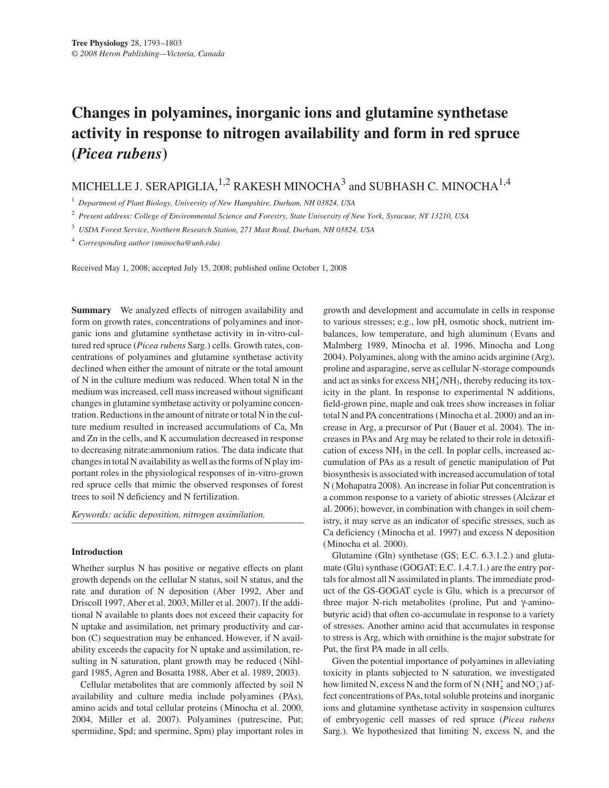# **Changes in polyamines, inorganic ions and glutamine synthetase activity in response to nitrogen availability and form in red spruce (***Picea rubens***)**

MICHELLE J. SERAPIGLIA,  $^{1,2}$  RAKESH MINOCHA<sup>3</sup> and SUBHASH C. MINOCHA<sup>1,4</sup>

<sup>1</sup> *Department of Plant Biology, University of New Hampshire, Durham, NH 03824, USA*

<sup>2</sup> *Present address: College of Environmental Science and Forestry, State University of New York, Syracuse, NY 13210, USA*

<sup>3</sup> *USDA Forest Service, Northern Research Station, 271 Mast Road, Durham, NH 03824, USA*

<sup>4</sup> *Corresponding author (sminocha@unh.edu)*

Received May 1, 2008; accepted July 15, 2008; published online October 1, 2008

**Summary** We analyzed effects of nitrogen availability and form on growth rates, concentrations of polyamines and inorganic ions and glutamine synthetase activity in in-vitro-cultured red spruce (*Picea rubens* Sarg.) cells. Growth rates, concentrations of polyamines and glutamine synthetase activity declined when either the amount of nitrate or the total amount of N in the culture medium was reduced. When total N in the medium was increased, cell mass increased without significant changes in glutamine synthetase activity or polyamine concentration. Reductions in the amount of nitrate or total N in the culture medium resulted in increased accumulations of Ca, Mn and Zn in the cells, and K accumulation decreased in response to decreasing nitrate:ammonium ratios. The data indicate that changes in total N availability as well as the forms of N play important roles in the physiological responses of in-vitro-grown red spruce cells that mimic the observed responses of forest trees to soil N deficiency and N fertilization.

*Keywords: acidic deposition, nitrogen assimilation.*

### **Introduction**

Whether surplus N has positive or negative effects on plant growth depends on the cellular N status, soil N status, and the rate and duration of N deposition (Aber 1992, Aber and Driscoll 1997, Aber et al. 2003, Miller et al. 2007). If the additional N available to plants does not exceed their capacity for N uptake and assimilation, net primary productivity and carbon (C) sequestration may be enhanced. However, if N availability exceeds the capacity for N uptake and assimilation, resulting in N saturation, plant growth may be reduced (Nihlgard 1985, Agren and Bosatta 1988, Aber et al. 1989, 2003).

Cellular metabolites that are commonly affected by soil N availability and culture media include polyamines (PAs), amino acids and total cellular proteins (Minocha et al. 2000, 2004, Miller et al. 2007). Polyamines (putrescine, Put; spermidine, Spd; and spermine, Spm) play important roles in growth and development and accumulate in cells in response to various stresses; e.g., low pH, osmotic shock, nutrient imbalances, low temperature, and high aluminum (Evans and Malmberg 1989, Minocha et al. 1996, Minocha and Long 2004). Polyamines, along with the amino acids arginine (Arg), proline and asparagine, serve as cellular N-storage compounds and act as sinks for excess  $NH_4^+/NH_3$ , thereby reducing its toxicity in the plant. In response to experimental N additions, field-grown pine, maple and oak trees show increases in foliar total N and PA concentrations (Minocha et al. 2000) and an increase in Arg, a precursor of Put (Bauer et al. 2004). The increases in PAs and Arg may be related to their role in detoxification of excess NH<sub>3</sub> in the cell. In poplar cells, increased accumulation of PAs as a result of genetic manipulation of Put biosynthesis is associated with increased accumulation of total N (Mohapatra 2008). An increase in foliar Put concentration is a common response to a variety of abiotic stresses (Alcázar et al. 2006); however, in combination with changes in soil chemistry, it may serve as an indicator of specific stresses, such as Ca deficiency (Minocha et al. 1997) and excess N deposition (Minocha et al. 2000).

Glutamine (Gln) synthetase (GS; E.C. 6.3.1.2.) and glutamate (Glu) synthase (GOGAT; E.C. 1.4.7.1.) are the entry portals for almost all N assimilated in plants. The immediate product of the GS-GOGAT cycle is Glu, which is a precursor of three major N-rich metabolites (proline, Put and γ-aminobutyric acid) that often co-accumulate in response to a variety of stresses. Another amino acid that accumulates in response to stress is Arg, which with ornithine is the major substrate for Put, the first PA made in all cells.

Given the potential importance of polyamines in alleviating toxicity in plants subjected to N saturation, we investigated how limited N, excess N and the form of N ( $NH_4^+$  and  $NO_3^-$ ) affect concentrations of PAs, total soluble proteins and inorganic ions and glutamine synthetase activity in suspension cultures of embryogenic cell masses of red spruce (*Picea rubens* Sarg.). We hypothesized that limiting N, excess N, and the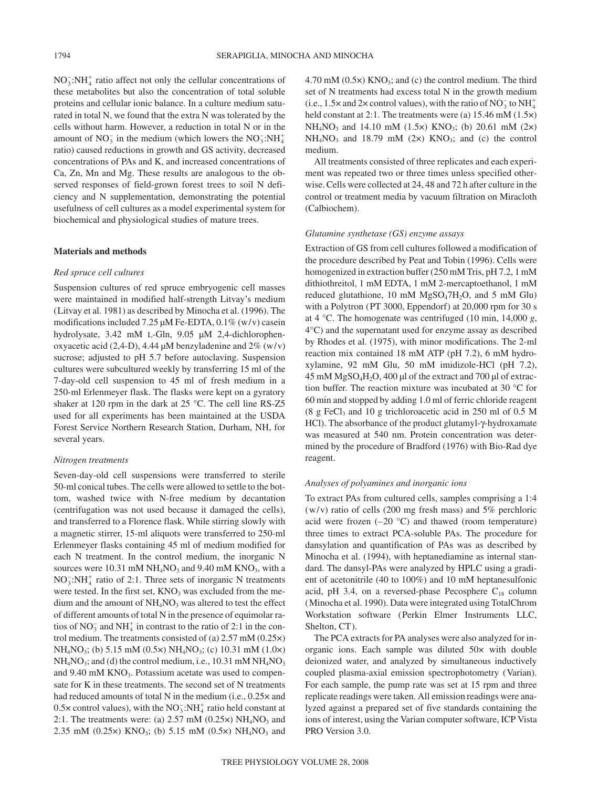$NO<sub>3</sub><sup>+</sup>:NH<sub>4</sub><sup>+</sup>$  ratio affect not only the cellular concentrations of these metabolites but also the concentration of total soluble proteins and cellular ionic balance. In a culture medium saturated in total N, we found that the extra N was tolerated by the cells without harm. However, a reduction in total N or in the amount of  $NO_3^-$  in the medium (which lowers the  $NO_3^-$ : $NH_4^+$ ratio) caused reductions in growth and GS activity, decreased concentrations of PAs and K, and increased concentrations of Ca, Zn, Mn and Mg. These results are analogous to the observed responses of field-grown forest trees to soil N deficiency and N supplementation, demonstrating the potential usefulness of cell cultures as a model experimental system for biochemical and physiological studies of mature trees.

#### **Materials and methods**

### *Red spruce cell cultures*

Suspension cultures of red spruce embryogenic cell masses were maintained in modified half-strength Litvay's medium (Litvay et al. 1981) as described by Minocha et al. (1996). The modifications included 7.25 µM Fe-EDTA, 0.1% (w/v) casein hydrolysate, 3.42 mM L-Gln, 9.05 µM 2,4-dichlorophenoxyacetic acid (2,4-D), 4.44  $\mu$ M benzyladenine and 2% (w/v) sucrose; adjusted to pH 5.7 before autoclaving. Suspension cultures were subcultured weekly by transferring 15 ml of the 7-day-old cell suspension to 45 ml of fresh medium in a 250-ml Erlenmeyer flask. The flasks were kept on a gyratory shaker at 120 rpm in the dark at 25 °C. The cell line RS-Z5 used for all experiments has been maintained at the USDA Forest Service Northern Research Station, Durham, NH, for several years.

## *Nitrogen treatments*

Seven-day-old cell suspensions were transferred to sterile 50-ml conical tubes. The cells were allowed to settle to the bottom, washed twice with N-free medium by decantation (centrifugation was not used because it damaged the cells), and transferred to a Florence flask. While stirring slowly with a magnetic stirrer, 15-ml aliquots were transferred to 250-ml Erlenmeyer flasks containing 45 ml of medium modified for each N treatment. In the control medium, the inorganic N sources were  $10.31$  mM NH<sub>4</sub>NO<sub>3</sub> and  $9.40$  mM KNO<sub>3</sub>, with a  $NO_3^-$ :NH<sup>+</sup> ratio of 2:1. Three sets of inorganic N treatments were tested. In the first set, KNO<sub>3</sub> was excluded from the medium and the amount of  $NH<sub>4</sub>NO<sub>3</sub>$  was altered to test the effect of different amounts of total N in the presence of equimolar ratios of NO<sub>3</sub> and NH<sup>+</sup><sub>4</sub> in contrast to the ratio of 2:1 in the control medium. The treatments consisted of (a) 2.57 mM (0.25×) NH4NO3; (b) 5.15 mM (0.5×) NH4NO3; (c) 10.31 mM (1.0×)  $NH<sub>4</sub>NO<sub>3</sub>$ ; and (d) the control medium, i.e., 10.31 mM  $NH<sub>4</sub>NO<sub>3</sub>$ and  $9.40 \text{ mM KNO}_3$ . Potassium acetate was used to compensate for K in these treatments. The second set of N treatments had reduced amounts of total N in the medium (i.e.,  $0.25 \times$  and  $0.5 \times$  control values), with the NO<sub>3</sub>:NH<sub>4</sub><sup>+</sup> ratio held constant at 2:1. The treatments were: (a)  $2.57$  mM (0.25 $\times$ ) NH<sub>4</sub>NO<sub>3</sub> and 2.35 mM (0.25 $\times$ ) KNO<sub>3</sub>; (b) 5.15 mM (0.5 $\times$ ) NH<sub>4</sub>NO<sub>3</sub> and  $4.70 \text{ mM } (0.5 \times) \text{ KNO}_3$ ; and (c) the control medium. The third set of N treatments had excess total N in the growth medium (i.e.,  $1.5 \times$  and  $2 \times$  control values), with the ratio of NO<sub>3</sub> to NH<sup>+</sup><sub>4</sub> held constant at 2:1. The treatments were (a) 15.46 mM (1.5 $\times$ )  $NH_4NO_3$  and 14.10 mM (1.5×) KNO<sub>3</sub>; (b) 20.61 mM (2×)  $NH<sub>4</sub>NO<sub>3</sub>$  and 18.79 mM (2x) KNO<sub>3</sub>; and (c) the control medium.

All treatments consisted of three replicates and each experiment was repeated two or three times unless specified otherwise. Cells were collected at 24, 48 and 72 h after culture in the control or treatment media by vacuum filtration on Miracloth (Calbiochem).

# *Glutamine synthetase (GS) enzyme assays*

Extraction of GS from cell cultures followed a modification of the procedure described by Peat and Tobin (1996). Cells were homogenized in extraction buffer (250 mM Tris, pH 7.2, 1 mM dithiothreitol, 1 mM EDTA, 1 mM 2-mercaptoethanol, 1 mM reduced glutathione, 10 mM MgSO47H2O, and 5 mM Glu) with a Polytron (PT 3000, Eppendorf) at 20,000 rpm for 30 s at 4 °C. The homogenate was centrifuged (10 min, 14,000 *g*, 4°C) and the supernatant used for enzyme assay as described by Rhodes et al. (1975), with minor modifications. The 2-ml reaction mix contained 18 mM ATP (pH 7.2), 6 mM hydroxylamine, 92 mM Glu, 50 mM imidizole-HCl (pH 7.2), 45 mM MgSO4H2O, 400 µl of the extract and 700 µl of extraction buffer. The reaction mixture was incubated at 30 °C for 60 min and stopped by adding 1.0 ml of ferric chloride reagent  $(8 \text{ g} \text{ FeCl}_3 \text{ and } 10 \text{ g} \text{ trichloroacetic acid in } 250 \text{ ml of } 0.5 \text{ M}$ HCl). The absorbance of the product glutamyl-γ-hydroxamate was measured at 540 nm. Protein concentration was determined by the procedure of Bradford (1976) with Bio-Rad dye reagent.

## *Analyses of polyamines and inorganic ions*

To extract PAs from cultured cells, samples comprising a 1:4  $(w/v)$  ratio of cells (200 mg fresh mass) and 5% perchloric acid were frozen  $(-20 \degree C)$  and thawed (room temperature) three times to extract PCA-soluble PAs. The procedure for dansylation and quantification of PAs was as described by Minocha et al. (1994), with heptanediamine as internal standard. The dansyl-PAs were analyzed by HPLC using a gradient of acetonitrile (40 to 100%) and 10 mM heptanesulfonic acid, pH 3.4, on a reversed-phase Pecosphere  $C_{18}$  column (Minocha et al. 1990). Data were integrated using TotalChrom Workstation software (Perkin Elmer Instruments LLC, Shelton, CT).

The PCA extracts for PA analyses were also analyzed for inorganic ions. Each sample was diluted 50× with double deionized water, and analyzed by simultaneous inductively coupled plasma-axial emission spectrophotometry (Varian). For each sample, the pump rate was set at 15 rpm and three replicate readings were taken. All emission readings were analyzed against a prepared set of five standards containing the ions of interest, using the Varian computer software, ICP Vista PRO Version 3.0.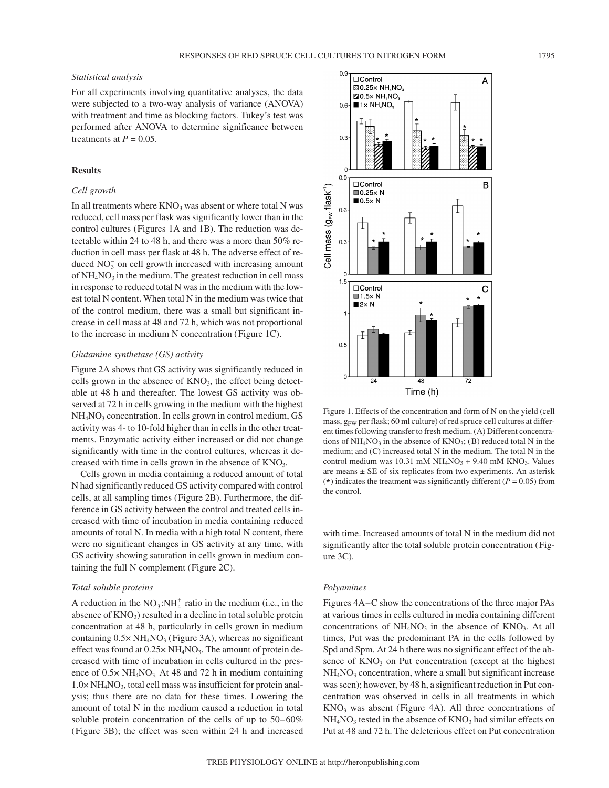# *Statistical analysis*

For all experiments involving quantitative analyses, the data were subjected to a two-way analysis of variance (ANOVA) with treatment and time as blocking factors. Tukey's test was performed after ANOVA to determine significance between treatments at  $P = 0.05$ .

# **Results**

# *Cell growth*

In all treatments where  $KNO<sub>3</sub>$  was absent or where total N was reduced, cell mass per flask was significantly lower than in the control cultures (Figures 1A and 1B). The reduction was detectable within 24 to 48 h, and there was a more than 50% reduction in cell mass per flask at 48 h. The adverse effect of reduced  $NO_3^-$  on cell growth increased with increasing amount of  $NH<sub>4</sub>NO<sub>3</sub>$  in the medium. The greatest reduction in cell mass in response to reduced total N was in the medium with the lowest total N content. When total N in the medium was twice that of the control medium, there was a small but significant increase in cell mass at 48 and 72 h, which was not proportional to the increase in medium N concentration (Figure 1C).

## *Glutamine synthetase (GS) activity*

Figure 2A shows that GS activity was significantly reduced in cells grown in the absence of KNO<sub>3</sub>, the effect being detectable at 48 h and thereafter. The lowest GS activity was observed at 72 h in cells growing in the medium with the highest NH<sub>4</sub>NO<sub>3</sub> concentration. In cells grown in control medium, GS activity was 4- to 10-fold higher than in cells in the other treatments. Enzymatic activity either increased or did not change significantly with time in the control cultures, whereas it decreased with time in cells grown in the absence of KNO<sub>3</sub>.

Cells grown in media containing a reduced amount of total N had significantly reduced GS activity compared with control cells, at all sampling times (Figure 2B). Furthermore, the difference in GS activity between the control and treated cells increased with time of incubation in media containing reduced amounts of total N. In media with a high total N content, there were no significant changes in GS activity at any time, with GS activity showing saturation in cells grown in medium containing the full N complement (Figure 2C).

#### *Total soluble proteins*

A reduction in the  $NO_3^-$ : $NH_4^+$  ratio in the medium (i.e., in the absence of  $KNO<sub>3</sub>$ ) resulted in a decline in total soluble protein concentration at 48 h, particularly in cells grown in medium containing  $0.5 \times NH_4NO_3$  (Figure 3A), whereas no significant effect was found at  $0.25 \times NH_4NO_3$ . The amount of protein decreased with time of incubation in cells cultured in the presence of  $0.5 \times NH_4NO_3$ . At 48 and 72 h in medium containing 1.0× NH4NO3, total cell mass was insufficient for protein analysis; thus there are no data for these times. Lowering the amount of total N in the medium caused a reduction in total soluble protein concentration of the cells of up to 50–60% (Figure 3B); the effect was seen within 24 h and increased



Figure 1. Effects of the concentration and form of N on the yield (cell mass,  $g_{FW}$  per flask; 60 ml culture) of red spruce cell cultures at different times following transfer to fresh medium. (A) Different concentrations of  $NH<sub>4</sub>NO<sub>3</sub>$  in the absence of  $KNO<sub>3</sub>$ ; (B) reduced total N in the medium; and (C) increased total N in the medium. The total N in the control medium was 10.31 mM  $NH_4NO_3 + 9.40$  mM  $KNO_3$ . Values are means ± SE of six replicates from two experiments. An asterisk ( $\star$ ) indicates the treatment was significantly different ( $P = 0.05$ ) from the control.

with time. Increased amounts of total N in the medium did not significantly alter the total soluble protein concentration (Figure 3C).

### *Polyamines*

Figures 4A–C show the concentrations of the three major PAs at various times in cells cultured in media containing different concentrations of  $NH<sub>4</sub>NO<sub>3</sub>$  in the absence of  $KNO<sub>3</sub>$ . At all times, Put was the predominant PA in the cells followed by Spd and Spm. At 24 h there was no significant effect of the absence of  $KNO<sub>3</sub>$  on Put concentration (except at the highest  $NH<sub>4</sub>NO<sub>3</sub>$  concentration, where a small but significant increase was seen); however, by 48 h, a significant reduction in Put concentration was observed in cells in all treatments in which  $KNO<sub>3</sub>$  was absent (Figure 4A). All three concentrations of  $NH<sub>4</sub>NO<sub>3</sub>$  tested in the absence of  $KNO<sub>3</sub>$  had similar effects on Put at 48 and 72 h. The deleterious effect on Put concentration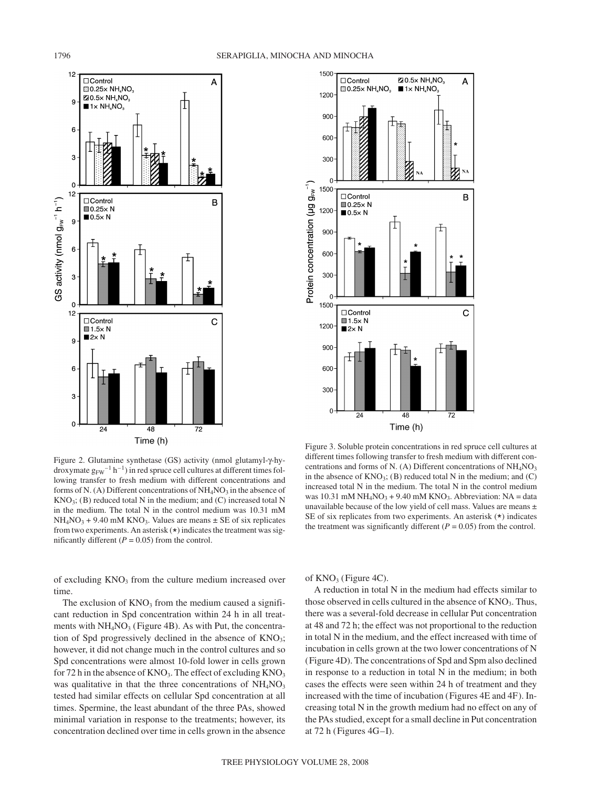



Figure 2. Glutamine synthetase (GS) activity (nmol glutamyl-γ-hydroxymate  $g_{FW}^{-1} h^{-1}$ ) in red spruce cell cultures at different times following transfer to fresh medium with different concentrations and forms of N. (A) Different concentrations of  $NH<sub>4</sub>NO<sub>3</sub>$  in the absence of  $KNO<sub>3</sub>$ ; (B) reduced total N in the medium; and (C) increased total N in the medium. The total N in the control medium was 10.31 mM  $NH_4NO_3 + 9.40$  mM KNO<sub>3</sub>. Values are means  $\pm$  SE of six replicates from two experiments. An asterisk  $(*)$  indicates the treatment was significantly different  $(P = 0.05)$  from the control.

of excluding  $KNO<sub>3</sub>$  from the culture medium increased over time.

The exclusion of  $KNO_3$  from the medium caused a significant reduction in Spd concentration within 24 h in all treatments with  $NH<sub>4</sub>NO<sub>3</sub>$  (Figure 4B). As with Put, the concentration of Spd progressively declined in the absence of  $KNO<sub>3</sub>$ ; however, it did not change much in the control cultures and so Spd concentrations were almost 10-fold lower in cells grown for 72 h in the absence of  $KNO_3$ . The effect of excluding  $KNO_3$ was qualitative in that the three concentrations of  $NH<sub>4</sub>NO<sub>3</sub>$ tested had similar effects on cellular Spd concentration at all times. Spermine, the least abundant of the three PAs, showed minimal variation in response to the treatments; however, its concentration declined over time in cells grown in the absence



Figure 3. Soluble protein concentrations in red spruce cell cultures at different times following transfer to fresh medium with different concentrations and forms of N. (A) Different concentrations of  $NH<sub>4</sub>NO<sub>3</sub>$ in the absence of  $KNO_3$ ; (B) reduced total N in the medium; and (C) increased total N in the medium. The total N in the control medium was 10.31 mM  $NH_4NO_3 + 9.40$  mM  $KNO_3$ . Abbreviation: NA = data unavailable because of the low yield of cell mass. Values are means  $\pm$ SE of six replicates from two experiments. An asterisk (\*) indicates the treatment was significantly different  $(P = 0.05)$  from the control.

of  $KNO<sub>3</sub>$  (Figure 4C).

A reduction in total N in the medium had effects similar to those observed in cells cultured in the absence of  $KNO<sub>3</sub>$ . Thus, there was a several-fold decrease in cellular Put concentration at 48 and 72 h; the effect was not proportional to the reduction in total N in the medium, and the effect increased with time of incubation in cells grown at the two lower concentrations of N (Figure 4D). The concentrations of Spd and Spm also declined in response to a reduction in total N in the medium; in both cases the effects were seen within 24 h of treatment and they increased with the time of incubation (Figures 4E and 4F). Increasing total N in the growth medium had no effect on any of the PAs studied, except for a small decline in Put concentration at 72 h (Figures 4G–I).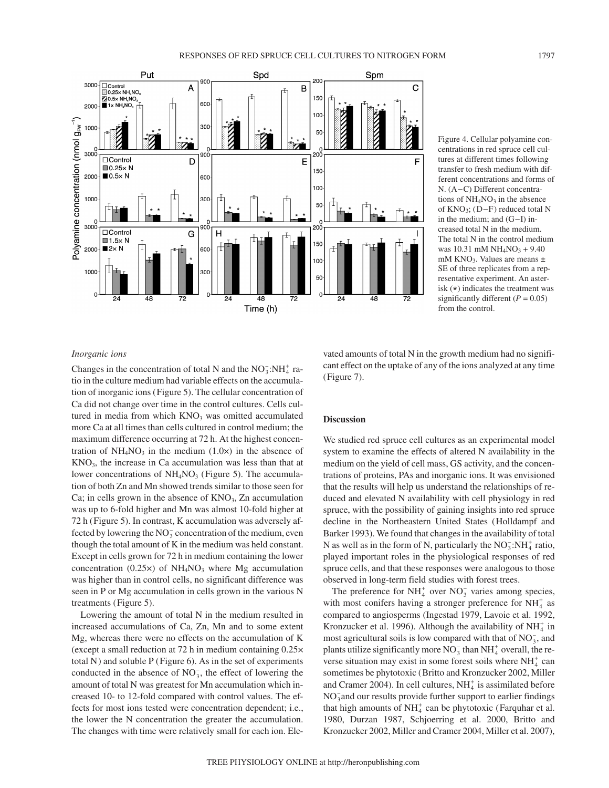

Figure 4. Cellular polyamine concentrations in red spruce cell cultures at different times following transfer to fresh medium with different concentrations and forms of N. (A−C) Different concentrations of  $NH<sub>4</sub>NO<sub>3</sub>$  in the absence of KNO3; (D−F) reduced total N in the medium; and (G−I) increased total N in the medium. The total N in the control medium was  $10.31$  mM NH<sub>4</sub>NO<sub>3</sub> + 9.40 mM KNO<sub>3</sub>. Values are means  $\pm$ SE of three replicates from a representative experiment. An asterisk  $(\star)$  indicates the treatment was significantly different  $(P = 0.05)$ from the control.

## *Inorganic ions*

Changes in the concentration of total N and the  $NO_3^-$ :NH<sub>4</sub><sup>+</sup> ratio in the culture medium had variable effects on the accumulation of inorganic ions (Figure 5). The cellular concentration of Ca did not change over time in the control cultures. Cells cultured in media from which KNO<sub>3</sub> was omitted accumulated more Ca at all times than cells cultured in control medium; the maximum difference occurring at 72 h. At the highest concentration of  $NH<sub>4</sub>NO<sub>3</sub>$  in the medium (1.0 $\times$ ) in the absence of  $KNO<sub>3</sub>$ , the increase in Ca accumulation was less than that at lower concentrations of  $NH<sub>4</sub>NO<sub>3</sub>$  (Figure 5). The accumulation of both Zn and Mn showed trends similar to those seen for Ca; in cells grown in the absence of  $KNO_3$ , Zn accumulation was up to 6-fold higher and Mn was almost 10-fold higher at 72 h (Figure 5). In contrast, K accumulation was adversely affected by lowering the  $NO_3^-$  concentration of the medium, even though the total amount of K in the medium was held constant. Except in cells grown for 72 h in medium containing the lower concentration  $(0.25 \times)$  of NH<sub>4</sub>NO<sub>3</sub> where Mg accumulation was higher than in control cells, no significant difference was seen in P or Mg accumulation in cells grown in the various N treatments (Figure 5).

Lowering the amount of total N in the medium resulted in increased accumulations of Ca, Zn, Mn and to some extent Mg, whereas there were no effects on the accumulation of K (except a small reduction at 72 h in medium containing 0.25× total N) and soluble P (Figure 6). As in the set of experiments conducted in the absence of  $NO_3^-$ , the effect of lowering the amount of total N was greatest for Mn accumulation which increased 10- to 12-fold compared with control values. The effects for most ions tested were concentration dependent; i.e., the lower the N concentration the greater the accumulation. The changes with time were relatively small for each ion. Elevated amounts of total N in the growth medium had no significant effect on the uptake of any of the ions analyzed at any time (Figure 7).

## **Discussion**

We studied red spruce cell cultures as an experimental model system to examine the effects of altered N availability in the medium on the yield of cell mass, GS activity, and the concentrations of proteins, PAs and inorganic ions. It was envisioned that the results will help us understand the relationships of reduced and elevated N availability with cell physiology in red spruce, with the possibility of gaining insights into red spruce decline in the Northeastern United States (Holldampf and Barker 1993). We found that changes in the availability of total N as well as in the form of N, particularly the  $NO_3^-$ :NH $_4^+$  ratio, played important roles in the physiological responses of red spruce cells, and that these responses were analogous to those observed in long-term field studies with forest trees.

The preference for  $NH_4^+$  over  $NO_3^-$  varies among species, with most conifers having a stronger preference for  $NH<sub>4</sub><sup>+</sup>$  as compared to angiosperms (Ingestad 1979, Lavoie et al. 1992, Kronzucker et al. 1996). Although the availability of  $NH_4^+$  in most agricultural soils is low compared with that of  $NO_3^-$ , and plants utilize significantly more  $NO_3^-$  than  $NH_4^+$  overall, the reverse situation may exist in some forest soils where  $NH<sub>4</sub><sup>+</sup>$  can sometimes be phytotoxic (Britto and Kronzucker 2002, Miller and Cramer 2004). In cell cultures,  $NH_4^+$  is assimilated before NO<sub>3</sub> and our results provide further support to earlier findings that high amounts of  $NH<sub>4</sub><sup>+</sup>$  can be phytotoxic (Farquhar et al. 1980, Durzan 1987, Schjoerring et al. 2000, Britto and Kronzucker 2002, Miller and Cramer 2004, Miller et al. 2007),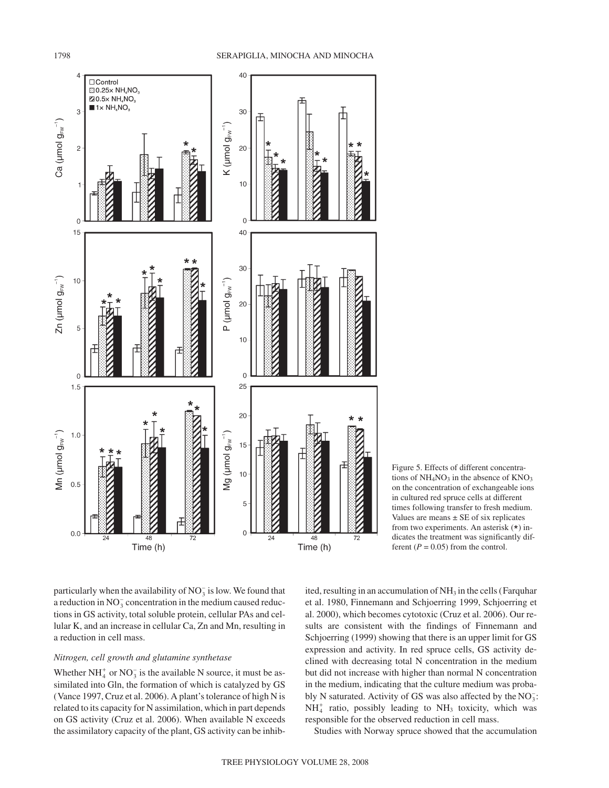

Figure 5. Effects of different concentrations of  $NH<sub>4</sub>NO<sub>3</sub>$  in the absence of  $KNO<sub>3</sub>$ on the concentration of exchangeable ions in cultured red spruce cells at different times following transfer to fresh medium. Values are means  $\pm$  SE of six replicates from two experiments. An asterisk (\*) indicates the treatment was significantly different  $(P = 0.05)$  from the control.

particularly when the availability of  $NO_3^-$  is low. We found that a reduction in  $NO_3^-$  concentration in the medium caused reductions in GS activity, total soluble protein, cellular PAs and cellular K, and an increase in cellular Ca, Zn and Mn, resulting in a reduction in cell mass.

# *Nitrogen, cell growth and glutamine synthetase*

Whether  $NH_4^+$  or  $NO_3^-$  is the available N source, it must be assimilated into Gln, the formation of which is catalyzed by GS (Vance 1997, Cruz et al. 2006). A plant's tolerance of high N is related to its capacity for N assimilation, which in part depends on GS activity (Cruz et al. 2006). When available N exceeds the assimilatory capacity of the plant, GS activity can be inhibited, resulting in an accumulation of  $NH<sub>3</sub>$  in the cells (Farquhar et al. 1980, Finnemann and Schjoerring 1999, Schjoerring et al. 2000), which becomes cytotoxic (Cruz et al. 2006). Our results are consistent with the findings of Finnemann and Schjoerring (1999) showing that there is an upper limit for GS expression and activity. In red spruce cells, GS activity declined with decreasing total N concentration in the medium but did not increase with higher than normal N concentration in the medium, indicating that the culture medium was probably N saturated. Activity of GS was also affected by the  $NO_3^-$ :  $NH<sub>4</sub><sup>+</sup>$  ratio, possibly leading to  $NH<sub>3</sub>$  toxicity, which was responsible for the observed reduction in cell mass.

Studies with Norway spruce showed that the accumulation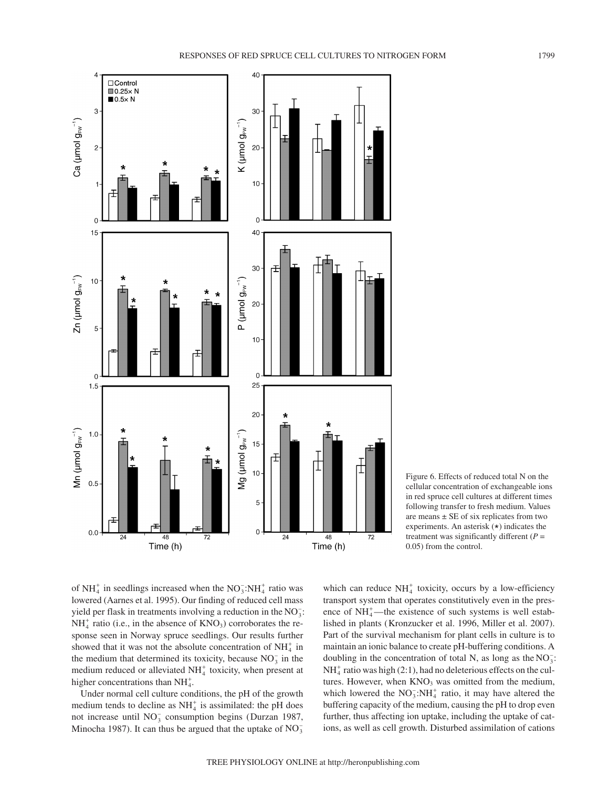

Figure 6. Effects of reduced total N on the cellular concentration of exchangeable ions in red spruce cell cultures at different times following transfer to fresh medium. Values are means  $\pm$  SE of six replicates from two experiments. An asterisk (\*) indicates the treatment was significantly different  $(P =$ 0.05) from the control.

of  $NH_4^+$  in seedlings increased when the  $NO_3^-$ : $NH_4^+$  ratio was lowered (Aarnes et al. 1995). Our finding of reduced cell mass yield per flask in treatments involving a reduction in the  $NO_3^-$ :  $NH<sub>4</sub><sup>+</sup>$  ratio (i.e., in the absence of  $KNO<sub>3</sub>$ ) corroborates the response seen in Norway spruce seedlings. Our results further showed that it was not the absolute concentration of  $NH<sub>4</sub><sup>+</sup>$  in the medium that determined its toxicity, because  $NO<sub>3</sub><sup>-</sup>$  in the medium reduced or alleviated  $NH<sub>4</sub><sup>+</sup>$  toxicity, when present at higher concentrations than  $NH_4^+$ .

Under normal cell culture conditions, the pH of the growth medium tends to decline as  $NH<sub>4</sub><sup>+</sup>$  is assimilated: the pH does not increase until  $NO_3^-$  consumption begins (Durzan 1987, Minocha 1987). It can thus be argued that the uptake of  $NO_3^-$ 

which can reduce  $NH<sub>4</sub><sup>+</sup>$  toxicity, occurs by a low-efficiency transport system that operates constitutively even in the presence of  $NH_4^+$ —the existence of such systems is well established in plants (Kronzucker et al. 1996, Miller et al. 2007). Part of the survival mechanism for plant cells in culture is to maintain an ionic balance to create pH-buffering conditions. A doubling in the concentration of total N, as long as the  $NO_3^-$ :  $NH<sub>4</sub><sup>+</sup>$  ratio was high (2:1), had no deleterious effects on the cultures. However, when  $KNO<sub>3</sub>$  was omitted from the medium, which lowered the  $NO_3^-$ : $NH_4^+$  ratio, it may have altered the buffering capacity of the medium, causing the pH to drop even further, thus affecting ion uptake, including the uptake of cations, as well as cell growth. Disturbed assimilation of cations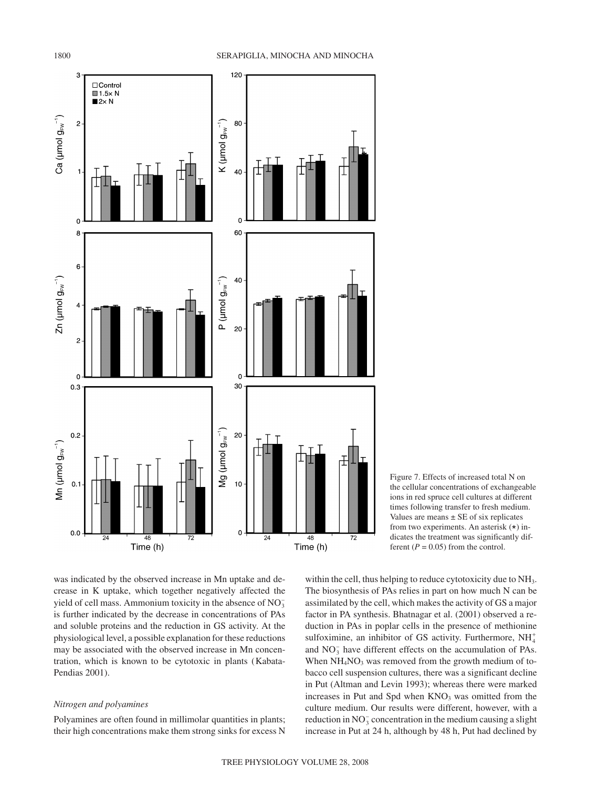

Figure 7. Effects of increased total N on the cellular concentrations of exchangeable ions in red spruce cell cultures at different times following transfer to fresh medium. Values are means  $\pm$  SE of six replicates from two experiments. An asterisk (\*) indicates the treatment was significantly different  $(P = 0.05)$  from the control.

was indicated by the observed increase in Mn uptake and decrease in K uptake, which together negatively affected the yield of cell mass. Ammonium toxicity in the absence of  $NO_3^$ is further indicated by the decrease in concentrations of PAs and soluble proteins and the reduction in GS activity. At the physiological level, a possible explanation for these reductions may be associated with the observed increase in Mn concentration, which is known to be cytotoxic in plants (Kabata-Pendias 2001).

# *Nitrogen and polyamines*

Polyamines are often found in millimolar quantities in plants; their high concentrations make them strong sinks for excess N

within the cell, thus helping to reduce cytotoxicity due to NH<sub>3</sub>. The biosynthesis of PAs relies in part on how much N can be assimilated by the cell, which makes the activity of GS a major factor in PA synthesis. Bhatnagar et al. (2001) observed a reduction in PAs in poplar cells in the presence of methionine sulfoximine, an inhibitor of GS activity. Furthermore,  $NH_4^+$ and  $NO_3^-$  have different effects on the accumulation of PAs. When  $NH<sub>4</sub>NO<sub>3</sub>$  was removed from the growth medium of tobacco cell suspension cultures, there was a significant decline in Put (Altman and Levin 1993); whereas there were marked increases in Put and Spd when  $KNO<sub>3</sub>$  was omitted from the culture medium. Our results were different, however, with a reduction in  $NO_3^-$  concentration in the medium causing a slight increase in Put at 24 h, although by 48 h, Put had declined by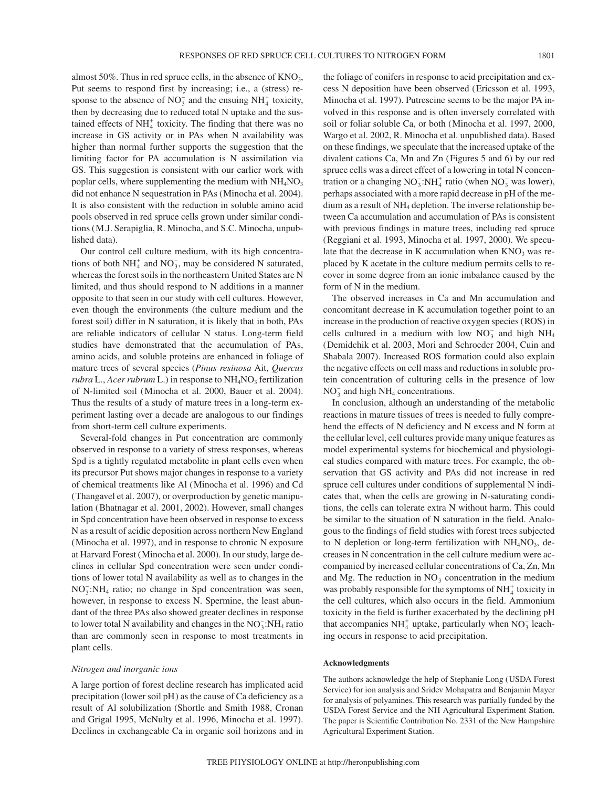almost 50%. Thus in red spruce cells, in the absence of KNO<sub>3</sub>, Put seems to respond first by increasing; i.e., a (stress) response to the absence of  $NO_3^-$  and the ensuing  $NH_4^+$  toxicity, then by decreasing due to reduced total N uptake and the sustained effects of  $NH<sub>4</sub><sup>+</sup>$  toxicity. The finding that there was no increase in GS activity or in PAs when N availability was higher than normal further supports the suggestion that the limiting factor for PA accumulation is N assimilation via GS. This suggestion is consistent with our earlier work with poplar cells, where supplementing the medium with  $NH<sub>4</sub>NO<sub>3</sub>$ did not enhance N sequestration in PAs (Minocha et al. 2004). It is also consistent with the reduction in soluble amino acid pools observed in red spruce cells grown under similar conditions (M.J. Serapiglia, R. Minocha, and S.C. Minocha, unpublished data).

Our control cell culture medium, with its high concentrations of both  $NH_4^+$  and  $NO_3^-$ , may be considered N saturated, whereas the forest soils in the northeastern United States are N limited, and thus should respond to N additions in a manner opposite to that seen in our study with cell cultures. However, even though the environments (the culture medium and the forest soil) differ in N saturation, it is likely that in both, PAs are reliable indicators of cellular N status. Long-term field studies have demonstrated that the accumulation of PAs, amino acids, and soluble proteins are enhanced in foliage of mature trees of several species (*Pinus resinosa* Ait, *Quercus rubra* L., *Acer rubrum* L.) in response to NH<sub>4</sub>NO<sub>3</sub> fertilization of N-limited soil (Minocha et al. 2000, Bauer et al. 2004). Thus the results of a study of mature trees in a long-term experiment lasting over a decade are analogous to our findings from short-term cell culture experiments.

Several-fold changes in Put concentration are commonly observed in response to a variety of stress responses, whereas Spd is a tightly regulated metabolite in plant cells even when its precursor Put shows major changes in response to a variety of chemical treatments like Al (Minocha et al. 1996) and Cd (Thangavel et al. 2007), or overproduction by genetic manipulation (Bhatnagar et al. 2001, 2002). However, small changes in Spd concentration have been observed in response to excess N as a result of acidic deposition across northern New England (Minocha et al. 1997), and in response to chronic N exposure at Harvard Forest (Minocha et al. 2000). In our study, large declines in cellular Spd concentration were seen under conditions of lower total N availability as well as to changes in the NO<sub>3</sub>:NH<sub>4</sub> ratio; no change in Spd concentration was seen, however, in response to excess N. Spermine, the least abundant of the three PAs also showed greater declines in response to lower total N availability and changes in the  $NO_3^-$ :NH<sub>4</sub> ratio than are commonly seen in response to most treatments in plant cells.

#### *Nitrogen and inorganic ions*

A large portion of forest decline research has implicated acid precipitation (lower soil pH) as the cause of Ca deficiency as a result of Al solubilization (Shortle and Smith 1988, Cronan and Grigal 1995, McNulty et al. 1996, Minocha et al. 1997). Declines in exchangeable Ca in organic soil horizons and in the foliage of conifers in response to acid precipitation and excess N deposition have been observed (Ericsson et al. 1993, Minocha et al. 1997). Putrescine seems to be the major PA involved in this response and is often inversely correlated with soil or foliar soluble Ca, or both (Minocha et al. 1997, 2000, Wargo et al. 2002, R. Minocha et al. unpublished data). Based on these findings, we speculate that the increased uptake of the divalent cations Ca, Mn and Zn (Figures 5 and 6) by our red spruce cells was a direct effect of a lowering in total N concentration or a changing  $NO_3^-$ :NH<sup> $+$ </sup><sub>4</sub> ratio (when NO<sub>3</sub> was lower), perhaps associated with a more rapid decrease in pH of the medium as a result of NH4 depletion. The inverse relationship between Ca accumulation and accumulation of PAs is consistent with previous findings in mature trees, including red spruce (Reggiani et al. 1993, Minocha et al. 1997, 2000). We speculate that the decrease in K accumulation when  $KNO<sub>3</sub>$  was replaced by K acetate in the culture medium permits cells to recover in some degree from an ionic imbalance caused by the form of N in the medium.

The observed increases in Ca and Mn accumulation and concomitant decrease in K accumulation together point to an increase in the production of reactive oxygen species (ROS) in cells cultured in a medium with low  $NO_3^-$  and high  $NH_4$ (Demidchik et al. 2003, Mori and Schroeder 2004, Cuin and Shabala 2007). Increased ROS formation could also explain the negative effects on cell mass and reductions in soluble protein concentration of culturing cells in the presence of low  $NO_3^-$  and high  $NH_4$  concentrations.

In conclusion, although an understanding of the metabolic reactions in mature tissues of trees is needed to fully comprehend the effects of N deficiency and N excess and N form at the cellular level, cell cultures provide many unique features as model experimental systems for biochemical and physiological studies compared with mature trees. For example, the observation that GS activity and PAs did not increase in red spruce cell cultures under conditions of supplemental N indicates that, when the cells are growing in N-saturating conditions, the cells can tolerate extra N without harm. This could be similar to the situation of N saturation in the field. Analogous to the findings of field studies with forest trees subjected to N depletion or long-term fertilization with  $NH<sub>4</sub>NO<sub>3</sub>$ , decreases in N concentration in the cell culture medium were accompanied by increased cellular concentrations of Ca, Zn, Mn and Mg. The reduction in  $NO_3^-$  concentration in the medium was probably responsible for the symptoms of  $\mathrm{NH}_4^+$  toxicity in the cell cultures, which also occurs in the field. Ammonium toxicity in the field is further exacerbated by the declining pH that accompanies  $NH_4^+$  uptake, particularly when  $NO_3^-$  leaching occurs in response to acid precipitation.

## **Acknowledgments**

The authors acknowledge the help of Stephanie Long (USDA Forest Service) for ion analysis and Sridev Mohapatra and Benjamin Mayer for analysis of polyamines. This research was partially funded by the USDA Forest Service and the NH Agricultural Experiment Station. The paper is Scientific Contribution No. 2331 of the New Hampshire Agricultural Experiment Station.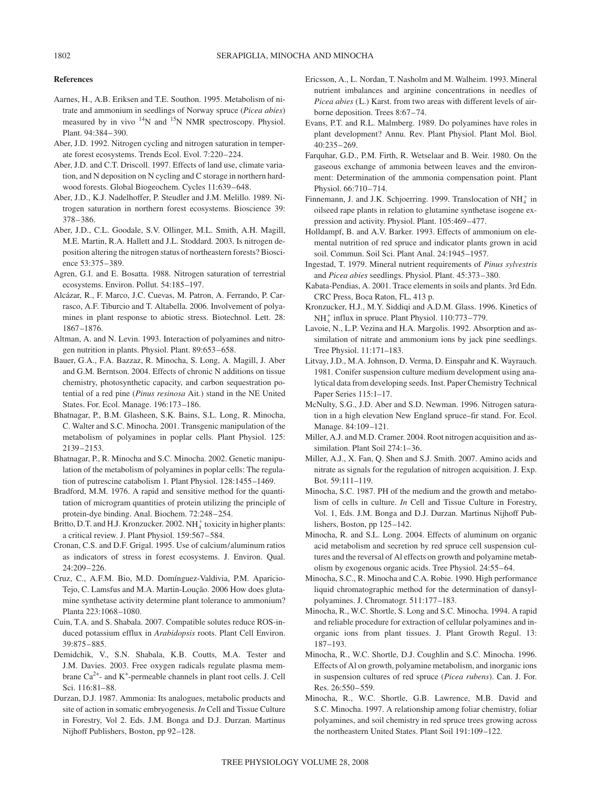### **References**

- Aarnes, H., A.B. Eriksen and T.E. Southon. 1995. Metabolism of nitrate and ammonium in seedlings of Norway spruce (*Picea abies*) measured by in vivo  $14N$  and  $15N$  NMR spectroscopy. Physiol. Plant. 94:384–390.
- Aber, J.D. 1992. Nitrogen cycling and nitrogen saturation in temperate forest ecosystems. Trends Ecol. Evol. 7:220–224.
- Aber, J.D. and C.T. Driscoll. 1997. Effects of land use, climate variation, and N deposition on N cycling and C storage in northern hardwood forests. Global Biogeochem. Cycles 11:639–648.
- Aber, J.D., K.J. Nadelhoffer, P. Steudler and J.M. Melillo. 1989. Nitrogen saturation in northern forest ecosystems. Bioscience 39: 378–386.
- Aber, J.D., C.L. Goodale, S.V. Ollinger, M.L. Smith, A.H. Magill, M.E. Martin, R.A. Hallett and J.L. Stoddard. 2003. Is nitrogen deposition altering the nitrogen status of northeastern forests? Bioscience 53:375–389.
- Agren, G.I. and E. Bosatta. 1988. Nitrogen saturation of terrestrial ecosystems. Environ. Pollut. 54:185–197.
- Alcázar, R., F. Marco, J.C. Cuevas, M. Patron, A. Ferrando, P. Carrasco, A.F. Tiburcio and T. Altabella. 2006. Involvement of polyamines in plant response to abiotic stress. Biotechnol. Lett. 28: 1867–1876.
- Altman, A. and N. Levin. 1993. Interaction of polyamines and nitrogen nutrition in plants. Physiol. Plant. 89:653–658.
- Bauer, G.A., F.A. Bazzaz, R. Minocha, S. Long, A. Magill, J. Aber and G.M. Berntson. 2004. Effects of chronic N additions on tissue chemistry, photosynthetic capacity, and carbon sequestration potential of a red pine (*Pinus resinosa* Ait.) stand in the NE United States. For. Ecol. Manage. 196:173–186.
- Bhatnagar, P., B.M. Glasheen, S.K. Bains, S.L. Long, R. Minocha, C. Walter and S.C. Minocha. 2001. Transgenic manipulation of the metabolism of polyamines in poplar cells. Plant Physiol. 125: 2139–2153.
- Bhatnagar, P., R. Minocha and S.C. Minocha. 2002. Genetic manipulation of the metabolism of polyamines in poplar cells: The regulation of putrescine catabolism 1. Plant Physiol. 128:1455–1469.
- Bradford, M.M. 1976. A rapid and sensitive method for the quantitation of microgram quantities of protein utilizing the principle of protein-dye binding. Anal. Biochem. 72:248–254.
- Britto, D.T. and H.J. Kronzucker. 2002.  $NH_4^+$  toxicity in higher plants: a critical review. J. Plant Physiol. 159:567–584.
- Cronan, C.S. and D.F. Grigal. 1995. Use of calcium/aluminum ratios as indicators of stress in forest ecosystems. J. Environ. Qual. 24:209–226.
- Cruz, C., A.F.M. Bio, M.D. Domínguez-Valdivia, P.M. Aparicio-Tejo, C. Lamsfus and M.A. Martin-Loução. 2006 How does glutamine synthetase activity determine plant tolerance to ammonium? Planta 223:1068–1080.
- Cuin, T.A. and S. Shabala. 2007. Compatible solutes reduce ROS-induced potassium efflux in *Arabidopsis* roots. Plant Cell Environ. 39:875–885.
- Demidchik, V., S.N. Shabala, K.B. Coutts, M.A. Tester and J.M. Davies. 2003. Free oxygen radicals regulate plasma membrane  $Ca^{2+}$ - and K<sup>+</sup>-permeable channels in plant root cells. J. Cell Sci. 116:81–88.
- Durzan, D.J. 1987. Ammonia: Its analogues, metabolic products and site of action in somatic embryogenesis. *In* Cell and Tissue Culture in Forestry, Vol 2. Eds. J.M. Bonga and D.J. Durzan. Martinus Nijhoff Publishers, Boston, pp 92–128.
- Ericsson, A., L. Nordan, T. Nasholm and M. Walheim. 1993. Mineral nutrient imbalances and arginine concentrations in needles of *Picea abies* (L.) Karst. from two areas with different levels of airborne deposition. Trees 8:67–74.
- Evans, P.T. and R.L. Malmberg. 1989. Do polyamines have roles in plant development? Annu. Rev. Plant Physiol. Plant Mol. Biol. 40:235–269.
- Farquhar, G.D., P.M. Firth, R. Wetselaar and B. Weir. 1980. On the gaseous exchange of ammonia between leaves and the environment: Determination of the ammonia compensation point. Plant Physiol. 66:710–714.
- Finnemann, J. and J.K. Schjoerring. 1999. Translocation of  $NH_4^+$  in oilseed rape plants in relation to glutamine synthetase isogene expression and activity. Physiol. Plant. 105:469–477.
- Holldampf, B. and A.V. Barker. 1993. Effects of ammonium on elemental nutrition of red spruce and indicator plants grown in acid soil. Commun. Soil Sci. Plant Anal. 24:1945–1957.
- Ingestad, T. 1979. Mineral nutrient requirements of *Pinus sylvestris* and *Picea abies* seedlings. Physiol. Plant. 45:373–380.
- Kabata-Pendias, A. 2001. Trace elements in soils and plants. 3rd Edn. CRC Press, Boca Raton, FL, 413 p.
- Kronzucker, H.J., M.Y. Siddiqi and A.D.M. Glass. 1996. Kinetics of  $NH<sub>4</sub><sup>+</sup>$  influx in spruce. Plant Physiol. 110:773–779.
- Lavoie, N., L.P. Vezina and H.A. Margolis. 1992. Absorption and assimilation of nitrate and ammonium ions by jack pine seedlings. Tree Physiol. 11:171–183.
- Litvay, J.D., M.A. Johnson, D. Verma, D. Einspahr and K. Wayrauch. 1981. Conifer suspension culture medium development using analytical data from developing seeds. Inst. Paper Chemistry Technical Paper Series 115:1–17.
- McNulty, S.G., J.D. Aber and S.D. Newman. 1996. Nitrogen saturation in a high elevation New England spruce–fir stand. For. Ecol. Manage. 84:109–121.
- Miller, A.J. and M.D. Cramer. 2004. Root nitrogen acquisition and assimilation. Plant Soil 274:1–36.
- Miller, A.J., X. Fan, Q. Shen and S.J. Smith. 2007. Amino acids and nitrate as signals for the regulation of nitrogen acquisition. J. Exp. Bot. 59:111–119.
- Minocha, S.C. 1987. PH of the medium and the growth and metabolism of cells in culture. *In* Cell and Tissue Culture in Forestry, Vol. 1, Eds. J.M. Bonga and D.J. Durzan. Martinus Nijhoff Publishers, Boston, pp 125–142.
- Minocha, R. and S.L. Long. 2004. Effects of aluminum on organic acid metabolism and secretion by red spruce cell suspension cultures and the reversal of Al effects on growth and polyamine metabolism by exogenous organic acids. Tree Physiol. 24:55–64.
- Minocha, S.C., R. Minocha and C.A. Robie. 1990. High performance liquid chromatographic method for the determination of dansylpolyamines. J. Chromatogr. 511:177–183.
- Minocha, R., W.C. Shortle, S. Long and S.C. Minocha. 1994. A rapid and reliable procedure for extraction of cellular polyamines and inorganic ions from plant tissues. J. Plant Growth Regul. 13: 187–193.
- Minocha, R., W.C. Shortle, D.J. Coughlin and S.C. Minocha. 1996. Effects of Al on growth, polyamine metabolism, and inorganic ions in suspension cultures of red spruce (*Picea rubens*). Can. J. For. Res. 26:550–559.
- Minocha, R., W.C. Shortle, G.B. Lawrence, M.B. David and S.C. Minocha. 1997. A relationship among foliar chemistry, foliar polyamines, and soil chemistry in red spruce trees growing across the northeastern United States. Plant Soil 191:109–122.